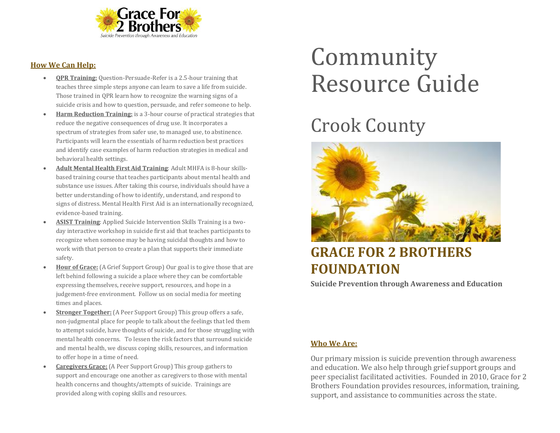

#### **How We Can Help:**

- **QPR Training:** Question-Persuade-Refer is a 2.5-hour training that teaches three simple steps anyone can learn to save a life from suicide. Those trained in QPR learn how to recognize the warning signs of a suicide crisis and how to question, persuade, and refer someone to help.
- **Harm Reduction Training:** is a 3-hour course of practical strategies that reduce the negative consequences of drug use. It incorporates a spectrum of strategies from safer use, to managed use, to abstinence. Participants will learn the essentials of harm reduction best practices and identify case examples of harm reduction strategies in medical and behavioral health settings.
- **Adult Mental Health First Aid Training**: Adult MHFA is 8-hour skillsbased training course that teaches participants about mental health and substance use issues. After taking this course, individuals should have a better understanding of how to identify, understand, and respond to signs of distress. Mental Health First Aid is an internationally recognized, evidence-based training.
- **ASIST Training**: Applied Suicide Intervention Skills Training is a twoday interactive workshop in suicide first aid that teaches participants to recognize when someone may be having suicidal thoughts and how to work with that person to create a plan that supports their immediate safety.
- **Hour of Grace:** (A Grief Support Group) Our goal is to give those that are left behind following a suicide a place where they can be comfortable expressing themselves, receive support, resources, and hope in a judgement-free environment. Follow us on social media for meeting times and places.
- **Stronger Together:** (A Peer Support Group) This group offers a safe, non-judgmental place for people to talk about the feelings that led them to attempt suicide, have thoughts of suicide, and for those struggling with mental health concerns. To lessen the risk factors that surround suicide and mental health, we discuss coping skills, resources, and information to offer hope in a time of need.
- **Caregivers Grace:** (A Peer Support Group) This group gathers to support and encourage one another as caregivers to those with mental health concerns and thoughts/attempts of suicide. Trainings are provided along with coping skills and resources.

# Community Resource Guide

## Crook County



### **GRACE FOR 2 BROTHERS FOUNDATION**

**Suicide Prevention through Awareness and Education**

#### **Who We Are:**

Our primary mission is suicide prevention through awareness and education. We also help through grief support groups and peer specialist facilitated activities. Founded in 2010, Grace for 2 Brothers Foundation provides resources, information, training, support, and assistance to communities across the state.